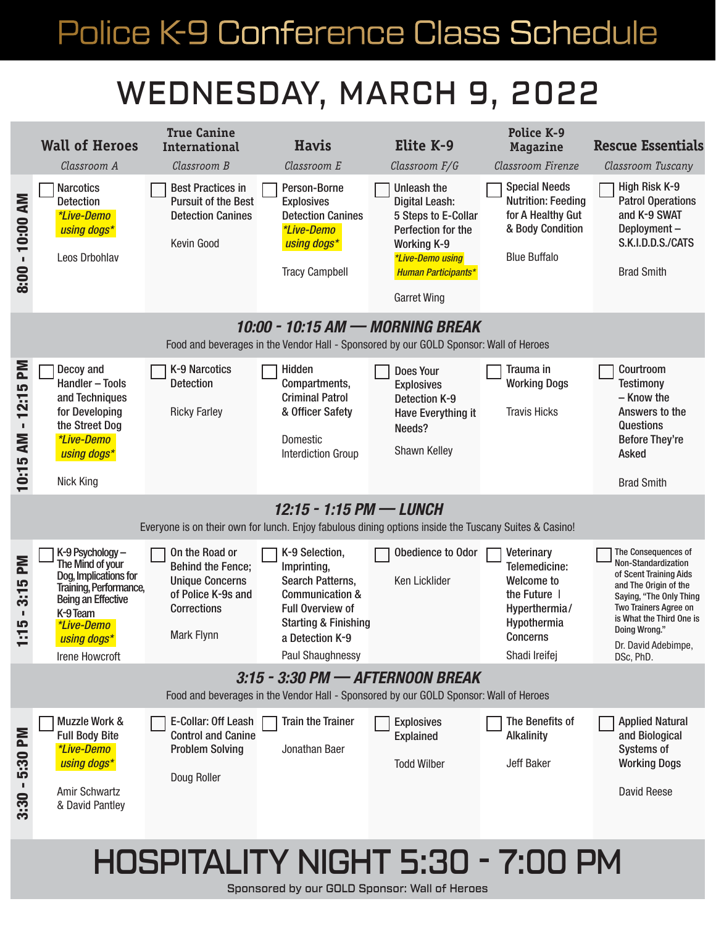# Police K-9 Conference Class Schedule Police K-9 Conference Class Schedule

### WEDNESDAY, MARCH 9, 2022



#### HOSPITALITY NIGHT 5:30 - 7:00 PM

Sponsored by our GOLD Sponsor: Wall of Heroes